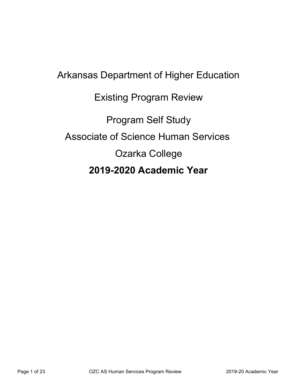# Arkansas Department of Higher Education Existing Program Review Program Self Study Associate of Science Human Services Ozarka College **2019-2020 Academic Year**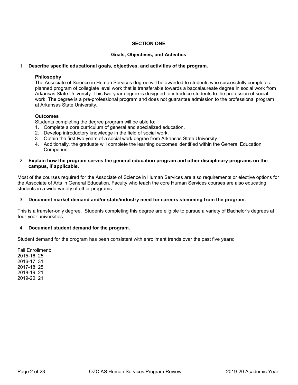#### **SECTION ONE**

#### **Goals, Objectives, and Activities**

#### 1. **Describe specific educational goals, objectives, and activities of the program**.

#### **Philosophy**

The Associate of Science in Human Services degree will be awarded to students who successfully complete a planned program of collegiate level work that is transferable towards a baccalaureate degree in social work from Arkansas State University. This two-year degree is designed to introduce students to the profession of social work. The degree is a pre-professional program and does not guarantee admission to the professional program at Arkansas State University.

#### **Outcomes**

Students completing the degree program will be able to:

- 1. Complete a core curriculum of general and specialized education.
- 2. Develop introductory knowledge in the field of social work.
- 3. Obtain the first two years of a social work degree from Arkansas State University.
- 4. Additionally, the graduate will complete the learning outcomes identified within the General Education Component.

#### 2. **Explain how the program serves the general education program and other disciplinary programs on the campus, if applicable.**

Most of the courses required for the Associate of Science in Human Services are also requirements or elective options for the Associate of Arts in General Education. Faculty who teach the core Human Services courses are also educating students in a wide variety of other programs.

#### 3. **Document market demand and/or state/industry need for careers stemming from the program.**

This is a transfer-only degree. Students completing this degree are eligible to pursue a variety of Bachelor's degrees at four-year universities.

#### 4. **Document student demand for the program.**

Student demand for the program has been consistent with enrollment trends over the past five years:

Fall Enrollment: 2015-16: 25 2016-17: 31 2017-18: 25 2018-19: 21 2019-20: 21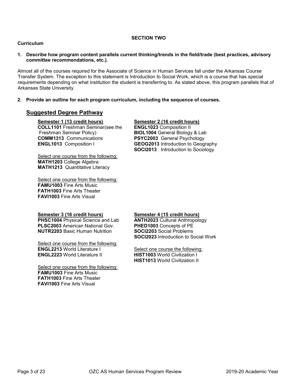#### **SECTION TWO**

#### **Curriculum**

**1. Describe how program content parallels current thinking/trends in the field/trade (best practices, advisory committee recommendations, etc.).** 

Almost all of the courses required for the Associate of Science in Human Services fall under the Arkansas Course Transfer System. The exception to this statement is Introduction to Social Work, which is a course that has special requirements depending on what institution the student is transferring to. As stated above, this program parallels that of Arkansas State University.

#### **2. Provide an outline for each program curriculum, including the sequence of courses.**

#### **Suggested Degree Pathway**

**Semester 1 (13 credit hours) COLL1101** Freshman Seminar(see the

Freshman Seminar Policy) **COMM1313** Communications **ENGL1013** Composition I

Select one course from the following: **MATH1203** College Algebra **MATH1213** Quantitative Literacy

Select one course from the following: **FAMU1003** Fine Arts Music **FATH1003** Fine Arts Theater **FAVI1003** Fine Arts Visual

#### **Semester 2 (16 credit hours)**

**ENGL1023** Composition II **BIOL1004** General Biology & Lab **PSYC2003** General Psychology **GEOG2013** Introduction to Geography **SOCI2013** Introduction to Sociology

#### **Semester 3 (16 credit hours)**

**PHSC1004** Physical Science and Lab **PLSC2003** American National Gov. **NUTR2203** Basic Human Nutrition

Select one course from the following: **ENGL2213** World Literature I **ENGL2223** World Literature II

Select one course from the following: **FAMU1003** Fine Arts Music **FATH1003** Fine Arts Theater **FAVI1003** Fine Arts Visual

#### **Semester 4 (15 credit hours)**

**ANTH2023** Cultural Anthropology **PHED1003** Concepts of PE **SOCI2203** Social Problems **SOCI2023** Introduction to Social Work

Select one course the following: **HIST1003** World Civilization I **HIST1013** World Civilization II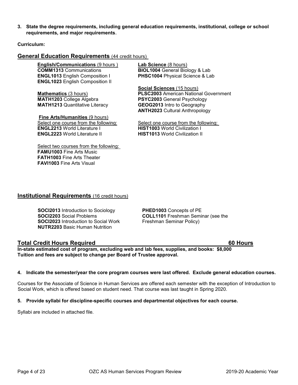**3. State the degree requirements, including general education requirements, institutional, college or school requirements, and major requirements**.

**Curriculum:**

#### **General Education Requirements** (44 credit hours)

**English/Communications** (9 hours ) **COMM1313** Communications **ENGL1013** English Composition I **ENGL1023** English Composition II

**Mathematics** (3 hours) **MATH1203** College Algebra **MATH1213** Quantitative Literacy

**Fine Arts/Humanities** (9 hours) Select one course from the following: **ENGL2213** World Literature I **ENGL2223** World Literature II

Select two courses from the following: **FAMU1003** Fine Arts Music **FATH1003** Fine Arts Theater **FAVI1003** Fine Arts Visual

**Lab Science** (8 hours) **BIOL1004** General Biology & Lab **PHSC1004** Physical Science & Lab

**Social Sciences** (15 hours) **PLSC2003** American National Government **PSYC2003** General Psychology **GEOG2013** Intro to Geography **ANTH2023** Cultural Anthropology

Select one course from the following: **HIST1003** World Civilization I **HIST1013** World Civilization II

#### **Institutional Requirements** (16 credit hours)

**SOCI2013** Introduction to Sociology **SOCI2203** Social Problems **SOCI2023** Introduction to Social Work **NUTR2203** Basic Human Nutrition

**PHED1003** Concepts of PE **COLL1101** Freshman Seminar (see the Freshman Seminar Policy)

#### **Total Credit Hours Required 60 Hours**

**In-state estimated cost of program, excluding web and lab fees, supplies, and books: \$8,000 Tuition and fees are subject to change per Board of Trustee approval.**

#### **4. Indicate the semester/year the core program courses were last offered. Exclude general education courses.**

Courses for the Associate of Science in Human Services are offered each semester with the exception of Introduction to Social Work, which is offered based on student need. That course was last taught in Spring 2020.

#### **5. Provide syllabi for discipline-specific courses and departmental objectives for each course.**

Syllabi are included in attached file.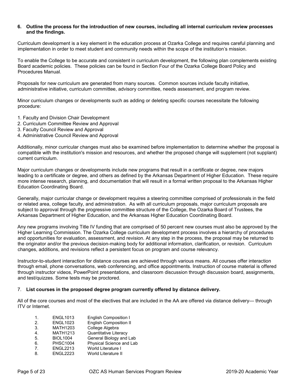#### **6. Outline the process for the introduction of new courses, including all internal curriculum review processes and the findings.**

Curriculum development is a key element in the education process at Ozarka College and requires careful planning and implementation in order to meet student and community needs within the scope of the institution's mission.

To enable the College to be accurate and consistent in curriculum development, the following plan complements existing Board academic policies. These policies can be found in Section Four of the Ozarka College Board Policy and Procedures Manual.

Proposals for new curriculum are generated from many sources. Common sources include faculty initiative, administrative initiative, curriculum committee, advisory committee, needs assessment, and program review.

Minor curriculum changes or developments such as adding or deleting specific courses necessitate the following procedure:

- 1. Faculty and Division Chair Development
- 2. Curriculum Committee Review and Approval
- 3. Faculty Council Review and Approval
- 4. Administrative Council Review and Approval

Additionally, minor curricular changes must also be examined before implementation to determine whether the proposal is compatible with the institution's mission and resources, and whether the proposed change will supplement (not supplant) current curriculum.

Major curriculum changes or developments include new programs that result in a certificate or degree, new majors leading to a certificate or degree, and others as defined by the Arkansas Department of Higher Education. These require more intense research, planning, and documentation that will result in a formal written proposal to the Arkansas Higher Education Coordinating Board.

Generally, major curricular change or development requires a steering committee comprised of professionals in the field or related area, college faculty, and administration. As with all curriculum proposals, major curriculum proposals are subject to approval through the progressive committee structure of the College, the Ozarka Board of Trustees, the Arkansas Department of Higher Education, and the Arkansas Higher Education Coordinating Board.

Any new programs involving Title IV funding that are comprised of 50 percent new courses must also be approved by the Higher Learning Commission. The Ozarka College curriculum development process involves a hierarchy of procedures and opportunities for evaluation, assessment, and revision. At any step in the process, the proposal may be returned to the originator and/or the previous decision-making body for additional information, clarification, or revision. Curriculum changes, additions, and revisions reflect a persistent focus on program and course relevancy.

Instructor-to-student interaction for distance courses are achieved through various means. All courses offer interaction through email, phone conversations, web conferencing, and office appointments. Instruction of course material is offered through instructor videos, PowerPoint presentations, and classroom discussion through discussion board, assignments, and test/quizzes. Some tests may be proctored.

#### 7. **List courses in the proposed degree program currently offered by distance delivery.**

All of the core courses and most of the electives that are included in the AA are offered via distance delivery— through ITV or Internet.

| 1. | <b>ENGL1013</b> | <b>English Composition I</b>  |
|----|-----------------|-------------------------------|
| 2. | <b>ENGL1023</b> | <b>English Composition II</b> |
| 3. | <b>MATH1203</b> | College Algebra               |
| 4. | <b>MATH1213</b> | Quantitative Literacy         |
| 5. | <b>BIOL1004</b> | General Biology and Lab       |
| 6. | <b>PHSC1004</b> | Physical Science and Lab      |
| 7. | <b>ENGL2213</b> | World Literature I            |
| 8. | <b>ENGL2223</b> | <b>World Literature II</b>    |
|    |                 |                               |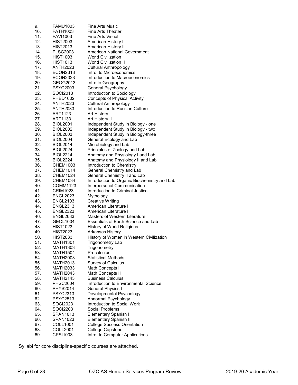| 9.  | <b>FAMU1003</b>             | <b>Fine Arts Music</b>                                          |
|-----|-----------------------------|-----------------------------------------------------------------|
| 10. | <b>FATH1003</b>             | <b>Fine Arts Theater</b>                                        |
| 11. | <b>FAVI1003</b>             | Fine Arts Visual                                                |
| 12. | <b>HIST2003</b>             | American History I                                              |
| 13. | <b>HIST2013</b>             | American History II                                             |
| 14. | <b>PLSC2003</b>             | American National Government                                    |
| 15. | <b>HIST1003</b>             | World Civilization I                                            |
| 16. | <b>HIST1013</b>             | <b>World Civilization II</b>                                    |
| 17. | <b>ANTH2023</b>             | <b>Cultural Anthropology</b>                                    |
| 18. | ECON2313                    | Intro, to Microeconomics                                        |
| 19. | <b>ECON2323</b>             | Introduction to Macroeconomics                                  |
| 20. | GEOG2013                    | Intro to Geography                                              |
| 21. | <b>PSYC2003</b>             | General Psychology                                              |
| 22. | SOCI2013                    | Introduction to Sociology                                       |
| 23. | PHED1002                    | <b>Concepts of Physical Activity</b>                            |
| 24. |                             |                                                                 |
| 25. | ANTH2023<br><b>ANTH2033</b> | <b>Cultural Anthropology</b><br>Introduction to Russian Culture |
|     |                             |                                                                 |
| 26. | ART1123                     | Art History I                                                   |
| 27. | ART1133                     | Art History II                                                  |
| 28. | <b>BIOL2001</b>             | Independent Study in Biology - one                              |
| 29. | <b>BIOL2002</b>             | Independent Study in Biology - two                              |
| 30. | <b>BIOL2003</b>             | Independent Study in Biology-three                              |
| 31. | <b>BIOL2004</b>             | General Ecology and Lab                                         |
| 32. | <b>BIOL2014</b>             | Microbiology and Lab                                            |
| 33. | <b>BIOL2024</b>             | Principles of Zoology and Lab                                   |
| 34. | <b>BIOL2214</b>             | Anatomy and Physiology I and Lab                                |
| 35. | <b>BIOL2224</b>             | Anatomy and Physiology II and Lab                               |
| 36. | CHEM1003                    | Introduction to Chemistry                                       |
| 37. | <b>CHEM1014</b>             | General Chemistry and Lab                                       |
| 38. | <b>CHEM1024</b>             | General Chemistry II and Lab                                    |
| 39. | <b>CHEM1034</b>             | Introduction to Organic Biochemistry and Lab                    |
| 40. | COMM1123                    | Interpersonal Communication                                     |
| 41. | <b>CRIM1023</b>             | Introduction to Criminal Justice                                |
| 42. | <b>ENGL2023</b>             | Mythology                                                       |
| 43. | <b>ENGL2103</b>             | <b>Creative Writing</b>                                         |
| 44. | <b>ENGL2313</b>             | American Literature I                                           |
| 45. | <b>ENGL2323</b>             | American Literature II                                          |
| 46. | <b>ENGL2683</b>             | Masters of Western Literature                                   |
| 47. | GEOL1004                    | Essentials of Earth Science and Lab                             |
| 48. | <b>HIST1023</b>             | History of World Religions                                      |
| 49. | <b>HIST2023</b>             | Arkansas History                                                |
| 50. | <b>HIST2033</b>             | History of Women in Western Civilization                        |
| 51. | <b>MATH1301</b>             | Trigonometry Lab                                                |
| 52. | MATH1303                    | Trigonometry                                                    |
| 53. | <b>MATH1504</b>             | Precalculus                                                     |
| 54. | MATH2003                    | <b>Statistical Methods</b>                                      |
| 55. | MATH2013                    | <b>Survey of Calculus</b>                                       |
| 56. | <b>MATH2033</b>             | Math Concepts I                                                 |
| 57. | MATH2043                    | Math Concepts II                                                |
| 58. | MATH2143                    | <b>Business Calculus</b>                                        |
| 59. | <b>PHSC2004</b>             | Introduction to Environmental Science                           |
| 60. | <b>PHYS2014</b>             | General Physics I                                               |
| 61. | PSYC2313                    | Developmental Psychology                                        |
| 62. | <b>PSYC2513</b>             | Abnormal Psychology                                             |
| 63. | SOCI2023                    | Introduction to Social Work                                     |
| 64. | SOCI2203                    | Social Problems                                                 |
| 65. | SPAN1013                    | Elementary Spanish I                                            |
| 66. | SPAN1023                    | <b>Elementary Spanish II</b>                                    |
| 67. |                             |                                                                 |
|     | COLL1001                    | <b>College Success Orientation</b>                              |
| 68. | COLL2001                    | College Capstone                                                |
| 69. | CPSI1003                    | Intro. to Computer Applications                                 |

Syllabi for core discipline-specific courses are attached.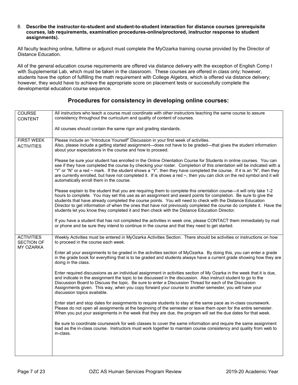#### 8. **Describe the instructor-to-student and student-to-student interaction for distance courses (prerequisite courses, lab requirements, examination procedures-online/proctored, instructor response to student assignments).**

All faculty teaching online, fulltime or adjunct must complete the MyOzarka training course provided by the Director of Distance Education.

All of the general education course requirements are offered via distance delivery with the exception of English Comp I with Supplemental Lab, which must be taken in the classroom. These courses are offered in class only; however, students have the option of fulfilling the math requirement with College Algebra, which is offered via distance delivery; however, they would have to achieve the appropriate score on placement tests or successfully complete the developmental education course sequence.

### **Procedures for consistency in developing online courses:**

| COURSE<br><b>CONTENT</b>                                   | All instructors who teach a course must coordinate with other instructors teaching the same course to assure<br>consistency throughout the curriculum and quality of content of courses.                                                                                                                                                                                                                                                                                                                                                                                  |  |  |  |
|------------------------------------------------------------|---------------------------------------------------------------------------------------------------------------------------------------------------------------------------------------------------------------------------------------------------------------------------------------------------------------------------------------------------------------------------------------------------------------------------------------------------------------------------------------------------------------------------------------------------------------------------|--|--|--|
|                                                            |                                                                                                                                                                                                                                                                                                                                                                                                                                                                                                                                                                           |  |  |  |
|                                                            | All courses should contain the same rigor and grading standards.                                                                                                                                                                                                                                                                                                                                                                                                                                                                                                          |  |  |  |
| <b>FIRST WEEK</b><br><b>ACTIVITIES</b>                     | Please include an "Introduce Yourself" Discussion in your first week of activities.<br>Also, please include a getting started assignment—does not have to be graded—that gives the student information<br>about your expectations in the course and how to proceed.                                                                                                                                                                                                                                                                                                       |  |  |  |
|                                                            | Please be sure your student has enrolled in the Online Orientation Course for Students in online courses. You can<br>see if they have completed the course by checking your roster. Completion of this orientation will be indicated with a<br>"Y" or "N" or a red $\sim$ mark. If the student shows a "Y", then they have completed the course. If it is an "N", then they<br>are currently enrolled, but have not completed it. If is shows a red ~, then you can click on the red symbol and it will<br>automatically enroll them in the course.                       |  |  |  |
|                                                            | Please explain to the student that you are requiring them to complete this orientation course—it will only take 1-2<br>hours to complete. You may set this use as an assignment and award points for completion. Be sure to give the<br>students that have already completed the course points. You will need to check with the Distance Education<br>Director to get information of when the ones that have not previously completed the course do complete it. Have the<br>students let you know they completed it and then check with the Distance Education Director. |  |  |  |
|                                                            | If you have a student that has not completed the activities in week one, please CONTACT them immediately by mail<br>or phone and be sure they intend to continue in the course and that they need to get started.                                                                                                                                                                                                                                                                                                                                                         |  |  |  |
| <b>ACTIVITIES</b><br><b>SECTION OF</b><br><b>MY OZARKA</b> | Weekly Activities must be entered in MyOzarka Activities Section. There should be activities or instructions on how<br>to proceed in the course each week.                                                                                                                                                                                                                                                                                                                                                                                                                |  |  |  |
|                                                            | Enter all your assignments to be graded in the activities section of MyOzarka. By doing this, you can enter a grade<br>in the grade book for everything that is to be graded and students always have a current grade showing how they are<br>doing in the class.                                                                                                                                                                                                                                                                                                         |  |  |  |
|                                                            | Enter required discussions as an individual assignment in activities section of My Ozarka in the week that it is due,<br>and indicate in the assignment the topic to be discussed in the discussion. Also instruct student to go to the<br>Discussion Board to Discuss the topic. Be sure to enter a Discussion Thread for each of the Discussion<br>Assignments given. This way, when you copy forward your course to another semester, you will have your<br>discussion topics available.                                                                               |  |  |  |
|                                                            | Enter start and stop dates for assignments to require students to stay at the same pace as in-class coursework.<br>Please do not open all assignments at the beginning of the semester or leave them open for the entire semester.<br>When you put your assignments in the week that they are due, the program will set the due dates for that week.                                                                                                                                                                                                                      |  |  |  |
|                                                            | Be sure to coordinate coursework for web classes to cover the same information and require the same assignment<br>load as the in-class course. Instructors must work together to maintain course consistency and quality from web to<br>in-class.                                                                                                                                                                                                                                                                                                                         |  |  |  |
|                                                            |                                                                                                                                                                                                                                                                                                                                                                                                                                                                                                                                                                           |  |  |  |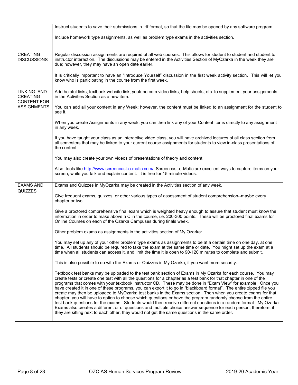|                                                      | Instruct students to save their submissions in .rtf format, so that the file may be opened by any software program.                                                                                                                                                                                                                                                                                                                                                                                                                                                                                                                                                                                                                                                                                                                                                                                                                                                                                                                                   |  |  |  |
|------------------------------------------------------|-------------------------------------------------------------------------------------------------------------------------------------------------------------------------------------------------------------------------------------------------------------------------------------------------------------------------------------------------------------------------------------------------------------------------------------------------------------------------------------------------------------------------------------------------------------------------------------------------------------------------------------------------------------------------------------------------------------------------------------------------------------------------------------------------------------------------------------------------------------------------------------------------------------------------------------------------------------------------------------------------------------------------------------------------------|--|--|--|
|                                                      | Include homework type assignments, as well as problem type exams in the activities section.                                                                                                                                                                                                                                                                                                                                                                                                                                                                                                                                                                                                                                                                                                                                                                                                                                                                                                                                                           |  |  |  |
| <b>CREATING</b><br><b>DISCUSSIONS</b>                | Regular discussion assignments are required of all web courses. This allows for student to student and student to<br>instructor interaction. The discussions may be entered in the Activities Section of MyOzarka in the week they are<br>due; however, they may have an open date earlier.                                                                                                                                                                                                                                                                                                                                                                                                                                                                                                                                                                                                                                                                                                                                                           |  |  |  |
|                                                      | It is critically important to have an "Introduce Yourself" discussion in the first week activity section. This will let you<br>know who is participating in the course from the first week.                                                                                                                                                                                                                                                                                                                                                                                                                                                                                                                                                                                                                                                                                                                                                                                                                                                           |  |  |  |
| LINKING AND<br><b>CREATING</b><br><b>CONTENT FOR</b> | Add helpful links, textbook website link, youtube.com video links, help sheets, etc. to supplement your assignments<br>in the Activities Section as a new item.                                                                                                                                                                                                                                                                                                                                                                                                                                                                                                                                                                                                                                                                                                                                                                                                                                                                                       |  |  |  |
| <b>ASSIGNMENTS</b>                                   | You can add all your content in any Week; however, the content must be linked to an assignment for the student to<br>see it.                                                                                                                                                                                                                                                                                                                                                                                                                                                                                                                                                                                                                                                                                                                                                                                                                                                                                                                          |  |  |  |
|                                                      | When you create Assignments in any week, you can then link any of your Content items directly to any assignment<br>in any week.                                                                                                                                                                                                                                                                                                                                                                                                                                                                                                                                                                                                                                                                                                                                                                                                                                                                                                                       |  |  |  |
|                                                      | If you have taught your class as an interactive video class, you will have archived lectures of all class section from<br>all semesters that may be linked to your current course assignments for students to view in-class presentations of<br>the content.                                                                                                                                                                                                                                                                                                                                                                                                                                                                                                                                                                                                                                                                                                                                                                                          |  |  |  |
|                                                      | You may also create your own videos of presentations of theory and content.                                                                                                                                                                                                                                                                                                                                                                                                                                                                                                                                                                                                                                                                                                                                                                                                                                                                                                                                                                           |  |  |  |
|                                                      | Also, tools like http://www.screencast-o-matic.com/ Screencast-o-Matic are excellent ways to capture items on your<br>screen, while you talk and explain content. It is free for 15 minute videos.                                                                                                                                                                                                                                                                                                                                                                                                                                                                                                                                                                                                                                                                                                                                                                                                                                                    |  |  |  |
| <b>EXAMS AND</b>                                     | Exams and Quizzes in MyOzarka may be created in the Activities section of any week.                                                                                                                                                                                                                                                                                                                                                                                                                                                                                                                                                                                                                                                                                                                                                                                                                                                                                                                                                                   |  |  |  |
| QUIZZES                                              | Give frequent exams, quizzes, or other various types of assessment of student comprehension--maybe every<br>chapter or two.                                                                                                                                                                                                                                                                                                                                                                                                                                                                                                                                                                                                                                                                                                                                                                                                                                                                                                                           |  |  |  |
|                                                      | Give a proctored comprehensive final exam which is weighted heavy enough to assure that student must know the<br>information in order to make above a C in the course, i.e. 200-300 points. These will be proctored final exams for<br>Online Courses on each of the Ozarka Campuses during finals week.                                                                                                                                                                                                                                                                                                                                                                                                                                                                                                                                                                                                                                                                                                                                              |  |  |  |
|                                                      | Other problem exams as assignments in the activities section of My Ozarka:                                                                                                                                                                                                                                                                                                                                                                                                                                                                                                                                                                                                                                                                                                                                                                                                                                                                                                                                                                            |  |  |  |
|                                                      | You may set up any of your other problem type exams as assignments to be at a certain time on one day, at one<br>time. All students should be required to take the exam at the same time or date. You might set up the exam at a<br>time when all students can access it, and limit the time it is open to 90-120 minutes to complete and submit.                                                                                                                                                                                                                                                                                                                                                                                                                                                                                                                                                                                                                                                                                                     |  |  |  |
|                                                      | This is also possible to do with the Exams or Quizzes in My Ozarka, if you want more security.                                                                                                                                                                                                                                                                                                                                                                                                                                                                                                                                                                                                                                                                                                                                                                                                                                                                                                                                                        |  |  |  |
|                                                      | Textbook test banks may be uploaded to the test bank section of Exams in My Ozarka for each course. You may<br>create tests or create one test with all the questions for a chapter as a test bank for that chapter in one of the<br>programs that comes with your textbook instructor CD. These may be done in "Exam View" for example. Once you<br>have created it in one of these programs, you can export it to go in "blackboard format". The entire zipped file you<br>create may then be uploaded to MyOzarka test banks in the Exams section. Then when you create exams for that<br>chapter, you will have to option to choose which questions or have the program randomly choose from the entire<br>test bank questions for the exams. Students would then receive different questions in a random format. My Ozarka<br>Exams also creates a different or of questions and multiple choice answer sequence for each person; therefore, if<br>they are sitting next to each other, they would not get the same questions in the same order. |  |  |  |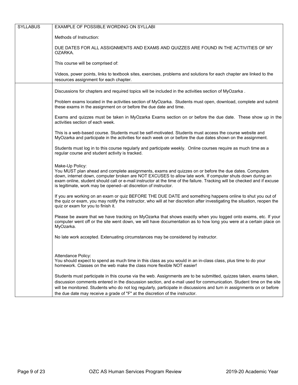| <b>SYLLABUS</b> | EXAMPLE OF POSSIBLE WORDING ON SYLLABI                                                                                                                                                                                                                                                                                                                                                                                                            |  |  |  |
|-----------------|---------------------------------------------------------------------------------------------------------------------------------------------------------------------------------------------------------------------------------------------------------------------------------------------------------------------------------------------------------------------------------------------------------------------------------------------------|--|--|--|
|                 | Methods of Instruction:                                                                                                                                                                                                                                                                                                                                                                                                                           |  |  |  |
|                 | DUE DATES FOR ALL ASSIGNMENTS AND EXAMS AND QUIZZES ARE FOUND IN THE ACTIVITIES OF MY<br>OZARKA.                                                                                                                                                                                                                                                                                                                                                  |  |  |  |
|                 | This course will be comprised of:                                                                                                                                                                                                                                                                                                                                                                                                                 |  |  |  |
|                 | Videos, power points, links to textbook sites, exercises, problems and solutions for each chapter are linked to the<br>resources assignment for each chapter.                                                                                                                                                                                                                                                                                     |  |  |  |
|                 | Discussions for chapters and required topics will be included in the activities section of MyOzarka.                                                                                                                                                                                                                                                                                                                                              |  |  |  |
|                 | Problem exams located in the activities section of MyOzarka. Students must open, download, complete and submit<br>these exams in the assignment on or before the due date and time.                                                                                                                                                                                                                                                               |  |  |  |
|                 | Exams and quizzes must be taken in MyOzarka Exams section on or before the due date. These show up in the<br>activities section of each week.                                                                                                                                                                                                                                                                                                     |  |  |  |
|                 | This is a web-based course. Students must be self-motivated. Students must access the course website and<br>MyOzarka and participate in the activities for each week on or before the due dates shown on the assignment.                                                                                                                                                                                                                          |  |  |  |
|                 | Students must log in to this course regularly and participate weekly. Online courses require as much time as a<br>regular course and student activity is tracked.                                                                                                                                                                                                                                                                                 |  |  |  |
|                 | Make-Up Policy:<br>You MUST plan ahead and complete assignments, exams and quizzes on or before the due dates. Computers<br>down, internet down, computer broken are NOT EXCUSES to allow late work. If computer shuts down during an<br>exam online, student should call or e-mail instructor at the time of the failure. Tracking will be checked and if excuse<br>is legitimate, work may be opened--at discretion of instructor.              |  |  |  |
|                 | If you are working on an exam or quiz BEFORE THE DUE DATE and something happens online to shut you out of<br>the quiz or exam, you may notify the instructor, who will at her discretion after investigating the situation, reopen the<br>quiz or exam for you to finish it.                                                                                                                                                                      |  |  |  |
|                 | Please be aware that we have tracking on MyOzarka that shows exactly when you logged onto exams, etc. If your<br>computer went off or the site went down, we will have documentation as to how long you were at a certain place on<br>MyOzarka.                                                                                                                                                                                                   |  |  |  |
|                 | No late work accepted. Extenuating circumstances may be considered by instructor.                                                                                                                                                                                                                                                                                                                                                                 |  |  |  |
|                 | Attendance Policy:                                                                                                                                                                                                                                                                                                                                                                                                                                |  |  |  |
|                 | You should expect to spend as much time in this class as you would in an in-class class, plus time to do your<br>homework. Classes on the web make the class more flexible NOT easier!                                                                                                                                                                                                                                                            |  |  |  |
|                 | Students must participate in this course via the web. Assignments are to be submitted, quizzes taken, exams taken,<br>discussion comments entered in the discussion section, and e-mail used for communication. Student time on the site<br>will be monitored. Students who do not log regularly, participate in discussions and turn in assignments on or before<br>the due date may receive a grade of "F" at the discretion of the instructor. |  |  |  |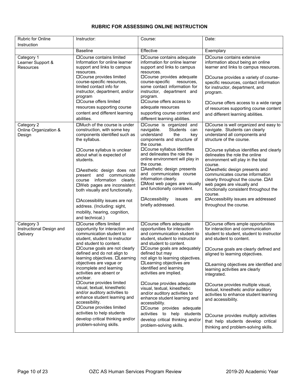#### Rubric for Online Instruction Instructor: Course: Date: Baseline **Effective** Effective **Exemplary** Category 1 Learner Support & **Resources** Course contains limited Information for online learner support and links to campus resources. Course provides limited course-specific resources, limited contact info for instructor, department, and/or program Course offers limited resources supporting course content and different learning abilities. Course contains adequate information for online learner support and links to campus resources. Course provides adequate course-specific resources, some contact information for instructor, department and program. Course offers access to adequate resources supporting course content and different learning abilities. Course contains extensive information about being an online learner and links to campus resources. Course provides a variety of coursespecific resources, contact information for instructor, department, and program. Course offers access to a wide range of resources supporting course content and different learning abilities. Category 2 Online Organization & **Design** Much of the course is under construction, with some key components identified such as the syllabus. Course syllabus is unclear about what is expected of students. Aesthetic design does not present and communicate course information clearly. Web pages are inconsistent both visually and functionally. Accessibility issues are not address. (Including: sight, mobility, hearing, cognition, and technical.) DCourse is organized and<br>navigable. Students can Students can understand the key components and structure of the course. Course syllabus identifies and delineates the role the online environment will play in the course. Aesthetic design presents and communicates course information clearly. Most web pages are visually and functionally consistent. Accessibility issues are briefly addressed. Course is well organized and easy to navigate. Students can clearly understand all components and structure of the course. Course syllabus identifies and clearly delineates the role the online environment will play in the total course. Aesthetic design presents and communicates course information clearly throughout the course.  $\Box$ All web pages are visually and functionally consistent throughout the course. Accessibility issues are addressed throughout the course. Category 3 Instructional Design and **Delivery** Course offers limited opportunity for interaction and communication student to student, student to instructor and student to content. Course goals are not clearly defined and do not align to learning objectives. **DLearning** objectives are vague or incomplete and learning activities are absent or unclear. Course provides limited visual, textual, kinesthetic and/or auditory activities to enhance student learning and accessibility. Course provides limited activities to help students develop critical thinking and/or problem-solving skills. Course offers adequate opportunities for interaction and communication student to student, student to instructor and student to content. Course goals are adequately defined but may not align to learning objectives. Learning objectives are identified and learning activities are implied. Course provides adequate visual, textual, kinesthetic and/or auditory activities to enhance student learning and accessibility. Course provides adequate activities to help students develop critical thinking and/or problem-solving skills. Course offers ample opportunities for interaction and communication student to student, student to instructor and student to content. Course goals are clearly defined and aligned to learning objectives. Learning objectives are identified and learning activities are clearly integrated. Course provides multiple visual, textual, kinesthetic and/or auditory activities to enhance student learning and accessibility. Course provides multiply activities that help students develop critical thinking and problem-solving skills.

#### **RUBRIC FOR ASSESSIING ONLINE INSTRUCTION**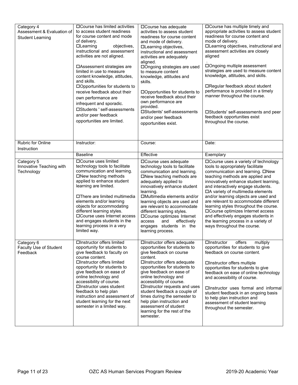| Category 4<br>Assessment & Evaluation of<br><b>Student Learning</b> | □ Course has limited activities<br>to access student readiness<br>for course content and mode<br>of delivery.<br>$\Box$ Learning<br>objectives,<br>instructional and assessment<br>activities are not aligned.<br>□ Assessment strategies are<br>limited in use to measure<br>content knowledge, attitudes,<br>and skills.<br>□Opportunities for students to<br>receive feedback about their<br>own performance are<br>infrequent and sporadic.<br>□Students ' self-assessments<br>and/or peer feedback<br>opportunities are limited. | □Course has adequate<br>activities to assess student<br>readiness for course content<br>and mode of delivery.<br>□Learning objectives,<br>instructional and assessment<br>activities are adequately<br>aligned.<br>□Ongoing strategies are used<br>to measure content<br>knowledge, attitudes and<br>skills.<br>□Opportunities for students to<br>receive feedback about their<br>own performance are<br>provided.<br>□Students' self-assessments<br>and/or peer feedback<br>opportunities exist. | <b>OCourse has multiple timely and</b><br>appropriate activities to assess student<br>readiness for course content and<br>mode of delivery.<br>□Learning objectives, instructional and<br>assessment activities are closely<br>aligned<br>□Ongoing multiple assessment<br>strategies are used to measure content<br>knowledge, attitudes, and skills.<br>□Regular feedback about student<br>performance is provided in a timely<br>manner throughout the course.<br>□Students' self-assessments and peer<br>feedback opportunities exist<br>throughout the course. |
|---------------------------------------------------------------------|---------------------------------------------------------------------------------------------------------------------------------------------------------------------------------------------------------------------------------------------------------------------------------------------------------------------------------------------------------------------------------------------------------------------------------------------------------------------------------------------------------------------------------------|---------------------------------------------------------------------------------------------------------------------------------------------------------------------------------------------------------------------------------------------------------------------------------------------------------------------------------------------------------------------------------------------------------------------------------------------------------------------------------------------------|--------------------------------------------------------------------------------------------------------------------------------------------------------------------------------------------------------------------------------------------------------------------------------------------------------------------------------------------------------------------------------------------------------------------------------------------------------------------------------------------------------------------------------------------------------------------|
| Rubric for Online<br>Instruction                                    | Instructor:                                                                                                                                                                                                                                                                                                                                                                                                                                                                                                                           | Course:                                                                                                                                                                                                                                                                                                                                                                                                                                                                                           | Date:                                                                                                                                                                                                                                                                                                                                                                                                                                                                                                                                                              |
|                                                                     | <b>Baseline</b>                                                                                                                                                                                                                                                                                                                                                                                                                                                                                                                       | Effective                                                                                                                                                                                                                                                                                                                                                                                                                                                                                         | Exemplary                                                                                                                                                                                                                                                                                                                                                                                                                                                                                                                                                          |
| Category 5<br>Innovative Teaching with<br>Technology                | □Course uses limited<br>technology tools to facilitate<br>communication and learning.<br>□New teaching methods<br>applied to enhance student<br>learning are limited.<br>□There are limited multimedia<br>elements and/or learning<br>objects for accommodating<br>different learning styles.<br>□ Course uses Internet access<br>and engages students in the<br>learning process in a very<br>limited way.                                                                                                                           | □Course uses adequate<br>technology tools to facilitate<br>communication and learning.<br>□New teaching methods are<br>adequately applied to<br>innovatively enhance student<br>learning.<br>□Multimedia elements and/or<br>learning objects are used and<br>are relevant to accommodate<br>different learning styles.<br>□Course optimizes Internet<br>effectively<br>access<br>and<br>engages students in the<br>learning process.                                                              | □ Course uses a variety of technology<br>tools to appropriately facilitate<br>communication and learning. □New<br>teaching methods are applied and<br>innovatively enhance student learning,<br>and interactively engage students.<br>□A variety of multimedia elements<br>and/or learning objects are used and<br>are relevant to accommodate different<br>learning styles throughout the course.<br>□Course optimizes Internet access<br>and effectively engages students in<br>the learning process in a variety of<br>ways throughout the course.              |
| Category 6<br>Faculty Use of Student<br>Feedback                    | □Instructor offers limited<br>opportunity for students to<br>give feedback to faculty on<br>course content.<br>□Instructor offers limited<br>opportunity for students to<br>give feedback on ease of<br>online technology and<br>accessibility of course.<br>□Instructor uses student<br>feedback to help plan<br>instruction and assessment of<br>student learning for the next<br>semester in a limited way.                                                                                                                        | □Instructor offers adequate<br>opportunities for students to<br>give feedback on course<br>content.<br>□Instructor offers adequate<br>opportunities for students to<br>give feedback on ease of<br>online technology and<br>accessibility of course.<br>□Instructor requests and uses<br>student feedback a couple of<br>times during the semester to<br>help plan instruction and<br>assessment of student<br>learning for the rest of the<br>semester.                                          | offers<br>$\Box$ Instructor<br>multiply<br>opportunities for students to give<br>feedback on course content.<br>□Instructor offers multiple<br>opportunities for students to give<br>feedback on ease of online technology<br>and accessibility of course.<br><b>Instructor uses formal and informal</b><br>student feedback in an ongoing basis<br>to help plan instruction and<br>assessment of student learning<br>throughout the semester.                                                                                                                     |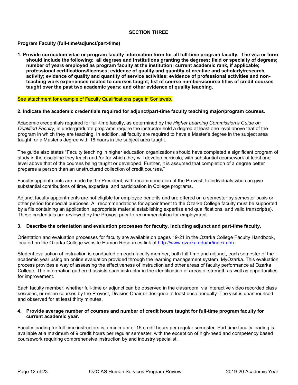#### **SECTION THREE**

#### **Program Faculty (full-time/adjunct/part-time)**

**1. Provide curriculum vitae or program faculty information form for all full-time program faculty. The vita or form should include the following: all degrees and institutions granting the degrees; field or specialty of degrees; number of years employed as program faculty at the institution; current academic rank, if applicable; professional certifications/licenses; evidence of quality and quantity of creative and scholarly/research activity; evidence of quality and quantity of service activities; evidence of professional activities and nonteaching work experiences related to courses taught; list of course numbers/course titles of credit courses taught over the past two academic years; and other evidence of quality teaching.** 

#### See attachment for example of Faculty Qualifications page in Sonisweb.

#### **2. Indicate the academic credentials required for adjunct/part-time faculty teaching major/program courses.**

Academic credentials required for full-time faculty, as determined by the *Higher Learning Commission's Guide on Qualified Faculty*, in undergraduate programs require the instructor hold a degree at least one level above that of the program in which they are teaching. In addition, all faculty are required to have a Master's degree in the subject area taught, or a Master's degree with 18 hours in the subject area taught.

The guide also states "Faculty teaching in higher education organizations should have completed a significant program of study in the discipline they teach and /or for which they will develop curricula, with substantial coursework at least one level above that of the courses being taught or developed. Further, it is assumed that completion of a degree better prepares a person than an unstructured collection of credit courses."

Faculty appointments are made by the President, with recommendation of the Provost, to individuals who can give substantial contributions of time, expertise, and participation in College programs.

Adjunct faculty appointments are not eligible for employee benefits and are offered on a semester by semester basis or other period for special purposes. All recommendations for appointment to the Ozarka College faculty must be supported by a file containing an application, appropriate material establishing expertise and qualifications, and valid transcript(s). These credentials are reviewed by the Provost prior to recommendation for employment.

#### **3. Describe the orientation and evaluation processes for faculty, including adjunct and part-time faculty.**

Orientation and evaluation processes for faculty are available on pages 19-21 in the Ozarka College Faculty Handbook, located on the Ozarka College website Human Resources link at [http://www.ozarka.edu/hr/index.cfm.](http://www.ozarka.edu/hr/index.cfm)

Student evaluation of instruction is conducted on each faculty member, both full-time and adjunct, each semester of the academic year using an online evaluation provided through the learning management system, MyOzarka. This evaluation process provides a way of assessing the effectiveness of instruction and other areas of faculty performance at Ozarka College. The information gathered assists each instructor in the identification of areas of strength as well as opportunities for improvement.

Each faculty member, whether full-time or adjunct can be observed in the classroom, via interactive video recorded class sessions, or online courses by the Provost, Division Chair or designee at least once annually. The visit is unannounced and observed for at least thirty minutes.

#### **4. Provide average number of courses and number of credit hours taught for full-time program faculty for current academic year.**

Faculty loading for full-time instructors is a minimum of 15 credit hours per regular semester. Part time faculty loading is available at a maximum of 9 credit hours per regular semester, with the exception of high-need and competency based coursework requiring comprehensive instruction by and industry specialist.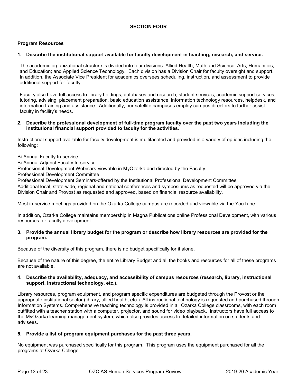#### **SECTION FOUR**

#### **Program Resources**

#### **1. Describe the institutional support available for faculty development in teaching, research, and service.**

The academic organizational structure is divided into four divisions: Allied Health; Math and Science; Arts, Humanities, and Education; and Applied Science Technology. Each division has a Division Chair for faculty oversight and support. In addition, the Associate Vice President for academics oversees scheduling, instruction, and assessment to provide additional support for faculty.

Faculty also have full access to library holdings, databases and research, student services, academic support services, tutoring, advising, placement preparation, basic education assistance, information technology resources, helpdesk, and information training and assistance. Additionally, our satellite campuses employ campus directors to further assist faculty in facility's needs.

#### **2. Describe the professional development of full-time program faculty over the past two years including the institutional financial support provided to faculty for the activities**.

Instructional support available for faculty development is multifaceted and provided in a variety of options including the following:

Bi-Annual Faculty In-service

Bi-Annual Adjunct Faculty In-service

Professional Development Webinars-viewable in MyOzarka and directed by the Faculty

Professional Development Committee

Professional Development Seminars-offered by the Institutional Professional Development Committee

Additional local, state-wide, regional and national conferences and symposiums as requested will be approved via the Division Chair and Provost as requested and approved, based on financial resource availability.

Most in-service meetings provided on the Ozarka College campus are recorded and viewable via the YouTube.

In addition, Ozarka College maintains membership in Magna Publications online Professional Development, with various resources for faculty development.

#### **3. Provide the annual library budget for the program or describe how library resources are provided for the program.**

Because of the diversity of this program, there is no budget specifically for it alone.

Because of the nature of this degree, the entire Library Budget and all the books and resources for all of these programs are not available.

#### **4. Describe the availability, adequacy, and accessibility of campus resources (research, library, instructional support, instructional technology, etc.).**

Library resources, program equipment, and program specific expenditures are budgeted through the Provost or the appropriate institutional sector (library, allied health, etc.). All instructional technology is requested and purchased through Information Systems. Comprehensive teaching technology is provided in all Ozarka College classrooms, with each room outfitted with a teacher station with a computer, projector, and sound for video playback. Instructors have full access to the MyOzarka learning management system, which also provides access to detailed information on students and advisees.

#### **5. Provide a list of program equipment purchases for the past three years.**

No equipment was purchased specifically for this program. This program uses the equipment purchased for all the programs at Ozarka College.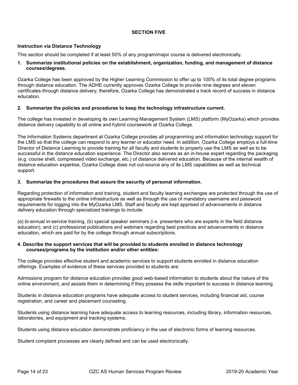#### **SECTION FIVE**

#### **Instruction via Distance Technology**

This section should be completed if at least 50% of any program/major course is delivered electronically.

#### **1. Summarize institutional policies on the establishment, organization, funding, and management of distance courses/degrees.**

Ozarka College has been approved by the Higher Learning Commission to offer up to 100% of its total degree programs through distance education. The ADHE currently approves Ozarka College to provide nine degrees and eleven certificates through distance delivery; therefore, Ozarka College has demonstrated a track record of success in distance education.

#### **2. Summarize the policies and procedures to keep the technology infrastructure current.**

The college has invested in developing its own Learning Management System (LMS) platform (MyOzarka) which provides distance delivery capability to all online and hybrid coursework at Ozarka College.

The Information Systems department at Ozarka College provides all programming and information technology support for the LMS so that the college can respond to any learner or educator need. In addition, Ozarka College employs a full-time Director of Distance Learning to provide training for all faculty and students to properly use the LMS as well as to be successful in the distance education experience. The Director also serves as an in-house expert regarding the packaging (e.g. course shell, compressed video exchange, etc.) of distance delivered education. Because of the internal wealth of distance education expertise, Ozarka College does not out-source any of its LMS capabilities as well as technical support.

#### **3. Summarize the procedures that assure the security of personal information.**

Regarding protection of information and training, student and faculty learning exchanges are protected through the use of appropriate firewalls to the online infrastructure as well as through the use of mandatory username and password requirements for logging into the MyOzarka LMS. Staff and faculty are kept apprised of advancements in distance delivery education through specialized trainings to include:

(a) bi-annual in-service training, (b) special speaker seminars (i.e. presenters who are experts in the field distance education), and (c) professional publications and webinars regarding best practices and advancements in distance education, which are paid for by the college through annual subscriptions.

#### **4. Describe the support services that will be provided to students enrolled in distance technology courses/programs by the institution and/or other entities:**

The college provides effective student and academic services to support students enrolled in distance education offerings. Examples of evidence of these services provided to students are:

Admissions program for distance education provides good web-based information to students about the nature of the online environment, and assists them in determining if they possess the skills important to success in distance learning

Students in distance education programs have adequate access to student services, including financial aid, course registration, and career and placement counseling.

Students using distance learning have adequate access to learning resources, including library, information resources, laboratories, and equipment and tracking systems.

Students using distance education demonstrate proficiency in the use of electronic forms of learning resources.

Student complaint processes are clearly defined and can be used electronically.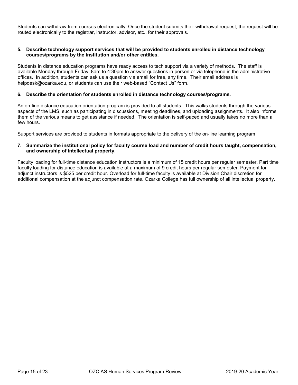Students can withdraw from courses electronically. Once the student submits their withdrawal request, the request will be routed electronically to the registrar, instructor, advisor, etc., for their approvals.

#### **5. Describe technology support services that will be provided to students enrolled in distance technology courses/programs by the institution and/or other entities.**

Students in distance education programs have ready access to tech support via a variety of methods. The staff is available Monday through Friday, 8am to 4:30pm to answer questions in person or via telephone in the administrative offices. In addition, students can ask us a question via email for free, any time. Their email address is helpdesk@ozarka.edu, or students can use their web-based "Contact Us" form.

#### **6. Describe the orientation for students enrolled in distance technology courses/programs.**

An on-line distance education orientation program is provided to all students. This walks students through the various aspects of the LMS, such as participating in discussions, meeting deadlines, and uploading assignments. It also informs them of the various means to get assistance if needed. The orientation is self-paced and usually takes no more than a few hours.

Support services are provided to students in formats appropriate to the delivery of the on-line learning program

#### **7. Summarize the institutional policy for faculty course load and number of credit hours taught, compensation, and ownership of intellectual property.**

Faculty loading for full-time distance education instructors is a minimum of 15 credit hours per regular semester. Part time faculty loading for distance education is available at a maximum of 9 credit hours per regular semester. Payment for adjunct instructors is \$525 per credit hour. Overload for full-time faculty is available at Division Chair discretion for additional compensation at the adjunct compensation rate. Ozarka College has full ownership of all intellectual property.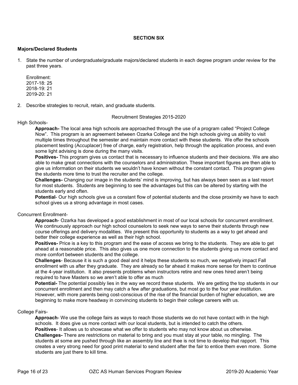#### **SECTION SIX**

#### **Majors/Declared Students**

1. State the number of undergraduate/graduate majors/declared students in each degree program under review for the past three years.

Enrollment: 2017-18: 25 2018-19: 21 2019-20: 21

2. Describe strategies to recruit, retain, and graduate students.

Recruitment Strategies 2015-2020

High Schools-

**Approach-** The local area high schools are approached through the use of a program called "Project College Now". This program is an agreement between Ozarka College and the high schools giving us ability to visit multiple times throughout the semester and maintain more contact with these students. We offer the schools placement testing (Accuplacer) free of charge, early registration, help through the application process, and even some light advising is done during the many visits.

**Positives-** This program gives us contact that is necessary to influence students and their decisions. We are also able to make great connections with the counselors and administration. These important figures are then able to give us information on their students we wouldn't have known without the constant contact. This program gives the students more time to trust the recruiter and the college.

**Challenges-** Changing our image in the students' mind is improving, but has always been seen as a last resort for most students. Students are beginning to see the advantages but this can be altered by starting with the students early and often.

**Potential**- Our high schools give us a constant flow of potential students and the close proximity we have to each school gives us a strong advantage in most cases.

#### Concurrent Enrollment-

**Approach**- Ozarka has developed a good establishment in most of our local schools for concurrent enrollment. We continuously approach our high school counselors to seek new ways to serve their students through new course offerings and delivery modalities. We present this opportunity to students as a way to get ahead and better their college experience as well as their high school.

**Positives-** Price is a key to this program and the ease of access we bring to the students. They are able to get ahead at a reasonable price. This also gives us one more connection to the students giving us more contact and more comfort between students and the college.

**Challenges**- Because it is such a good deal and it helps these students so much, we negatively impact Fall enrollment with us after they graduate. They are already so far ahead it makes more sense for them to continue at the 4-year institution. It also presents problems when instructors retire and new ones hired aren't being required to have Masters so we aren't able to offer as much

**Potential-** The potential possibly lies in the way we record these students. We are getting the top students in our concurrent enrollment and then may catch a few after graduations, but most go to the four year institution. However, with more parents being cost-conscious of the rise of the financial burden of higher education, we are beginning to make more headway in convincing students to begin their college careers with us.

#### College Fairs-

**Approach**- We use the college fairs as ways to reach those students we do not have contact with in the high schools. It does give us more contact with our local students, but is intended to catch the others. **Positives**- It allows us to showcase what we offer to students who may not know about us otherwise. **Challenges-** There are restrictions on material to bring and you must stay at your table, no mingling. The students at some are pushed through like an assembly line and thee is not time to develop that rapport. This creates a very strong need for good print material to send student after the fair to entice them even more. Some students are just there to kill time.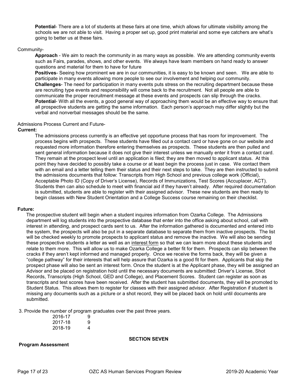**Potential**- There are a lot of students at these fairs at one time, which allows for ultimate visibility among the schools we are not able to visit. Having a proper set up, good print material and some eye catchers are what's going to better us at these fairs.

#### Community-

**Approach** - We aim to reach the community in as many ways as possible. We are attending community events such as Fairs, parades, shows, and other events. We always have team members on hand ready to answer questions and material for them to have for future

**Positives**- Seeing how prominent we are in our communities, it is easy to be known and seen. We are able to participate in many events allowing more people to see our involvement and helping our community. **Challenges**- The need for participation in many events puts stress on the recruiting department because these are recruiting type events and responsibility will come back to the recruitment. Not all people are able to communicate the proper recruitment message at these events and prospects can slip through the cracks. **Potential**- With all the events, a good general way of approaching them would be an effective way to ensure that all prospective students are getting the same information. Each person's approach may differ slightly but the verbal and nonverbal messages should be the same.

#### Admissions Process Current and Future-

#### **Current:**

The admissions process currently is an effective yet opportune process that has room for improvement. The process begins with prospects. These students have filled out a contact card or have gone on our website and requested more information therefore entering themselves as prospects. These students are then pulled and sent general information because it does not give their interest unless we manually enter it from a contact card. They remain at the prospect level until an application is filed; they are then moved to applicant status. At this point they have decided to possibly take a course or at least begin the process just in case. We contact them with an email and a letter telling them their status and their next steps to take. They are then instructed to submit the admissions documents that follow: Transcripts from High School and previous college work (Official), Acceptable Photo ID (Copy of Driver's License), Records of Immunizations, Test Scores (Accuplacer, ACT). Students then can also schedule to meet with financial aid if they haven't already. After required documentation is submitted, students are able to register with their assigned advisor. These new students are then ready to begin classes with New Student Orientation and a College Success course remaining on their checklist.

#### **Future:**

The prospective student will begin when a student inquires information from Ozarka College. The Admissions department will log students into the prospective database that enter into the office asking about school, call with interest in attending, and prospect cards sent to us. After the information gathered is documented and entered into the system, the prospects will also be put in a separate database to separate them from inactive prospects. The list will be checked weekly to promote prospects to applicant status and remove the inactive. We will also be sending these prospective students a letter as well as an interest form so that we can learn more about these students and relate to them more. This will allow us to make Ozarka College a better fit for them. Prospects can slip between the cracks if they aren't kept informed and managed properly. Once we receive the forms back, they will be given a "college pathway" for their interests that will help assure that Ozarka is a good fit for them. Applicants that skip the prospect phase will also be sent an interest form. Once the student is at the Applicant phase, they will be assigned an Advisor and be placed on registration hold until the necessary documents are submitted: Driver's License, Shot Records, Transcripts (High School, GED and College), and Placement Scores. Student can register as soon as transcripts and test scores have been received. After the student has submitted documents, they will be promoted to Student Status. This allows them to register for classes with their assigned advisor. After Registration if student is missing any documents such as a picture or a shot record, they will be placed back on hold until documents are submitted.

3. Provide the number of program graduates over the past three years.

| 2016-17 | 9 |
|---------|---|
| 2017-18 | 9 |
| 2018-19 | 4 |

#### **SECTION SEVEN**

#### **Program Assessment**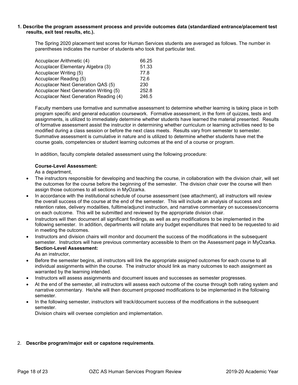#### **1. Describe the program assessment process and provide outcomes data (standardized entrance/placement test results, exit test results, etc.).**

The Spring 2020 placement test scores for Human Services students are averaged as follows. The number in parentheses indicates the number of students who took that particular test.

| Accuplacer Arithmetic (4)              | 66.25 |
|----------------------------------------|-------|
| Accuplacer Elementary Algebra (3)      | 51.33 |
| Accuplacer Writing (5)                 | 77.8  |
| Accuplacer Reading (5)                 | 72.6  |
| Accuplacer Next Generation QAS (5)     | 230   |
| Accuplacer Next Generation Writing (5) | 252.8 |
| Accuplacer Next Generation Reading (4) | 246.5 |

Faculty members use formative and summative assessment to determine whether learning is taking place in both program specific and general education coursework. Formative assessment, in the form of quizzes, tests and assignments, is utilized to immediately determine whether students have learned the material presented. Results of formative assessment assist the instructor in determining whether curriculum or learning activities need to be modified during a class session or before the next class meets. Results vary from semester to semester. Summative assessment is cumulative in nature and is utilized to determine whether students have met the course goals, competencies or student learning outcomes at the end of a course or program.

In addition, faculty complete detailed assessment using the following procedure:

#### **Course-Level Assessment:**

As a department,

- The instructors responsible for developing and teaching the course, in collaboration with the division chair, will set the outcomes for the course before the beginning of the semester. The division chair over the course will then assign those outcomes to all sections in MyOzarka.
- In accordance with the institutional schedule of course assessment (see attachment), all instructors will review the overall success of the course at the end of the semester. This will include an analysis of success and retention rates, delivery modalities, fulltime/adjunct instruction, and narrative commentary on successes/concerns on each outcome. This will be submitted and reviewed by the appropriate division chair.
- Instructors will then document all significant findings, as well as any modifications to be implemented in the following semester. In addition, departments will notate any budget expenditures that need to be requested to aid in meeting the outcomes.
- Instructors and division chairs will monitor and document the success of the modifications in the subsequent semester. Instructors will have previous commentary accessible to them on the Assessment page in MyOzarka. **Section-Level Assessment:**

As an instructor,

- Before the semester begins, all instructors will link the appropriate assigned outcomes for each course to all individual assignments within the course. The instructor should link as many outcomes to each assignment as warranted by the learning intended.
- Instructors will assess assignments and document issues and successes as semester progresses.
- At the end of the semester, all instructors will assess each outcome of the course through both rating system and narrative commentary. He/she will then document proposed modifications to be implemented in the following semester.
- In the following semester, instructors will track/document success of the modifications in the subsequent semester.

Division chairs will oversee completion and implementation.

#### 2. **Describe program/major exit or capstone requirements**.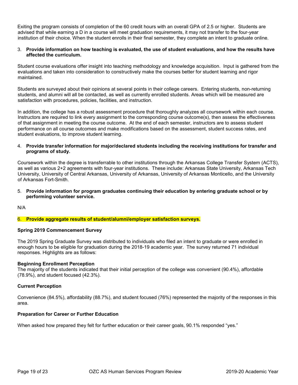Exiting the program consists of completion of the 60 credit hours with an overall GPA of 2.5 or higher. Students are advised that while earning a D in a course will meet graduation requirements, it may not transfer to the four-year institution of their choice. When the student enrolls in their final semester, they complete an intent to graduate online.

#### 3. **Provide information on how teaching is evaluated, the use of student evaluations, and how the results have affected the curriculum.**

Student course evaluations offer insight into teaching methodology and knowledge acquisition. Input is gathered from the evaluations and taken into consideration to constructively make the courses better for student learning and rigor maintained.

Students are surveyed about their opinions at several points in their college careers. Entering students, non-returning students, and alumni will all be contacted, as well as currently enrolled students. Areas which will be measured are satisfaction with procedures, policies, facilities, and instruction.

In addition, the college has a robust assessment procedure that thoroughly analyzes all coursework within each course. Instructors are required to link every assignment to the corresponding course outcome(s), then assess the effectiveness of that assignment in meeting the course outcome. At the end of each semester, instructors are to assess student performance on all course outcomes and make modifications based on the assessment, student success rates, and student evaluations, to improve student learning.

#### 4. **Provide transfer information for major/declared students including the receiving institutions for transfer and programs of study.**

Coursework within the degree is transferrable to other institutions through the Arkansas College Transfer System (ACTS), as well as various 2+2 agreements with four-year institutions. These include: Arkansas State University, Arkansas Tech University, University of Central Arkansas, University of Arkansas, University of Arkansas Monticello, and the University of Arkansas Fort-Smith.

#### 5. **Provide information for program graduates continuing their education by entering graduate school or by performing volunteer service.**

N/A

#### 6. **Provide aggregate results of student/alumni/employer satisfaction surveys.**

#### **Spring 2019 Commencement Survey**

The 2019 Spring Graduate Survey was distributed to individuals who filed an intent to graduate or were enrolled in enough hours to be eligible for graduation during the 2018-19 academic year. The survey returned 71 individual responses. Highlights are as follows:

#### **Beginning Enrollment Perception**

The majority of the students indicated that their initial perception of the college was convenient (90.4%), affordable (78.9%), and student focused (42.3%).

#### **Current Perception**

Convenience (84.5%), affordability (88.7%), and student focused (76%) represented the majority of the responses in this area.

#### **Preparation for Career or Further Education**

When asked how prepared they felt for further education or their career goals, 90.1% responded "yes."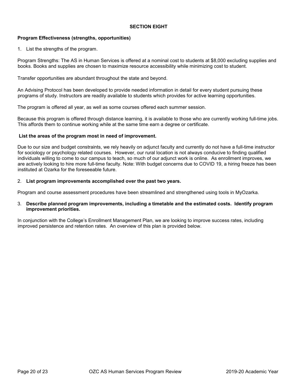#### **SECTION EIGHT**

#### **Program Effectiveness (strengths, opportunities)**

1. List the strengths of the program.

Program Strengths: The AS in Human Services is offered at a nominal cost to students at \$8,000 excluding supplies and books. Books and supplies are chosen to maximize resource accessibility while minimizing cost to student.

Transfer opportunities are abundant throughout the state and beyond.

An Advising Protocol has been developed to provide needed information in detail for every student pursuing these programs of study. Instructors are readily available to students which provides for active learning opportunities.

The program is offered all year, as well as some courses offered each summer session.

Because this program is offered through distance learning, it is available to those who are currently working full-time jobs. This affords them to continue working while at the same time earn a degree or certificate.

#### **List the areas of the program most in need of improvement.**

Due to our size and budget constraints, we rely heavily on adjunct faculty and currently do not have a full-time instructor for sociology or psychology related courses. However, our rural location is not always conducive to finding qualified individuals willing to come to our campus to teach, so much of our adjunct work is online. As enrollment improves, we are actively looking to hire more full-time faculty. Note: With budget concerns due to COVID 19, a hiring freeze has been instituted at Ozarka for the foreseeable future.

#### 2. **List program improvements accomplished over the past two years.**

Program and course assessment procedures have been streamlined and strengthened using tools in MyOzarka.

#### 3. **Describe planned program improvements, including a timetable and the estimated costs. Identify program improvement priorities.**

In conjunction with the College's Enrollment Management Plan, we are looking to improve success rates, including improved persistence and retention rates. An overview of this plan is provided below.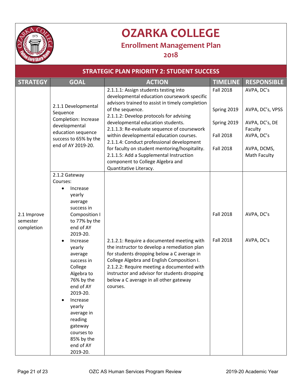

## **OZARKA COLLEGE**

### **Enrollment Management Plan**

**2018**

| <b>STRATEGIC PLAN PRIORITY 2: STUDENT SUCCESS</b> |                                                                                                                                                                                                                                                                                                                                                                   |                                                                                                                                                                                                                                                                                                                                            |                                      |                                         |  |
|---------------------------------------------------|-------------------------------------------------------------------------------------------------------------------------------------------------------------------------------------------------------------------------------------------------------------------------------------------------------------------------------------------------------------------|--------------------------------------------------------------------------------------------------------------------------------------------------------------------------------------------------------------------------------------------------------------------------------------------------------------------------------------------|--------------------------------------|-----------------------------------------|--|
| <b>STRATEGY</b>                                   | <b>GOAL</b>                                                                                                                                                                                                                                                                                                                                                       | <b>ACTION</b>                                                                                                                                                                                                                                                                                                                              | <b>TIMELINE</b>                      | <b>RESPONSIBLE</b>                      |  |
|                                                   | 2.1.1 Developmental<br>Sequence<br><b>Completion: Increase</b><br>developmental<br>education sequence<br>success to 65% by the<br>end of AY 2019-20.                                                                                                                                                                                                              | 2.1.1.1: Assign students testing into<br>developmental education coursework specific<br>advisors trained to assist in timely completion<br>of the sequence.                                                                                                                                                                                | <b>Fall 2018</b><br>Spring 2019      | AVPA, DC's<br>AVPA, DC's, VPSS          |  |
|                                                   |                                                                                                                                                                                                                                                                                                                                                                   | 2.1.1.2: Develop protocols for advising<br>developmental education students.<br>2.1.1.3: Re-evaluate sequence of coursework<br>within developmental education courses.<br>2.1.1.4: Conduct professional development                                                                                                                        | Spring 2019<br><b>Fall 2018</b>      | AVPA, DC's, DE<br>Faculty<br>AVPA, DC's |  |
|                                                   |                                                                                                                                                                                                                                                                                                                                                                   | for faculty on student mentoring/hospitality.<br>2.1.1.5: Add a Supplemental Instruction<br>component to College Algebra and<br>Quantitative Literacy.                                                                                                                                                                                     | <b>Fall 2018</b>                     | AVPA, DCMS,<br>Math Faculty             |  |
| 2.1 Improve<br>semester<br>completion             | 2.1.2 Gateway<br>Courses:<br>Increase<br>yearly<br>average<br>success in<br>Composition I<br>to 77% by the<br>end of AY<br>2019-20.<br>Increase<br>yearly<br>average<br>success in<br>College<br>Algebra to<br>76% by the<br>end of AY<br>2019-20.<br>Increase<br>yearly<br>average in<br>reading<br>gateway<br>courses to<br>85% by the<br>end of AY<br>2019-20. | 2.1.2.1: Require a documented meeting with<br>the instructor to develop a remediation plan<br>for students dropping below a C average in<br>College Algebra and English Composition I.<br>2.1.2.2: Require meeting a documented with<br>instructor and advisor for students dropping<br>below a C average in all other gateway<br>courses. | <b>Fall 2018</b><br><b>Fall 2018</b> | AVPA, DC's<br>AVPA, DC's                |  |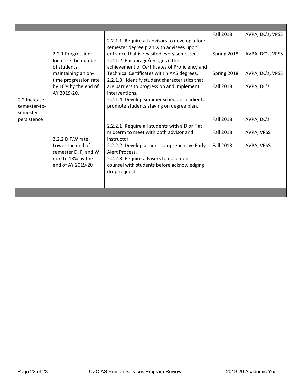|                         |                                             |                                                                                              | <b>Fall 2018</b> | AVPA, DC's, VPSS |
|-------------------------|---------------------------------------------|----------------------------------------------------------------------------------------------|------------------|------------------|
|                         |                                             | 2.2.1.1: Require all advisors to develop a four<br>semester degree plan with advisees upon   |                  |                  |
|                         | 2.2.1 Progression:<br>Increase the number   | entrance that is revisited every semester.<br>2.2.1.2: Encourage/recognize the               | Spring 2018      | AVPA, DC's, VPSS |
|                         | of students                                 | achievement of Certificates of Proficiency and                                               |                  |                  |
|                         | maintaining an on-<br>time progression rate | Technical Certificates within AAS degrees.<br>2.2.1.3: Identify student characteristics that | Spring 2018      | AVPA, DC's, VPSS |
|                         | by 10% by the end of<br>AY 2019-20.         | are barriers to progression and implement<br>interventions.                                  | <b>Fall 2018</b> | AVPA, DC's       |
| 2.2 Increase            |                                             | 2.2.1.4: Develop summer schedules earlier to                                                 |                  |                  |
| semester-to-            |                                             | promote students staying on degree plan.                                                     |                  |                  |
| semester<br>persistence |                                             |                                                                                              | <b>Fall 2018</b> | AVPA, DC's       |
|                         |                                             | 2.2.2.1: Require all students with a D or F at                                               |                  |                  |
|                         |                                             | midterm to meet with both advisor and                                                        | <b>Fall 2018</b> | AVPA, VPSS       |
|                         | 2.2.2 D,F,W rate:<br>Lower the end of       | instructor.<br>2.2.2.2: Develop a more comprehensive Early                                   | <b>Fall 2018</b> | AVPA, VPSS       |
|                         | semester D, F, and W                        | Alert Process.                                                                               |                  |                  |
|                         | rate to 13% by the                          | 2.2.2.3: Require advisors to document                                                        |                  |                  |
|                         | end of AY 2019-20                           | counsel with students before acknowledging<br>drop requests.                                 |                  |                  |
|                         |                                             |                                                                                              |                  |                  |
|                         |                                             |                                                                                              |                  |                  |
|                         |                                             |                                                                                              |                  |                  |